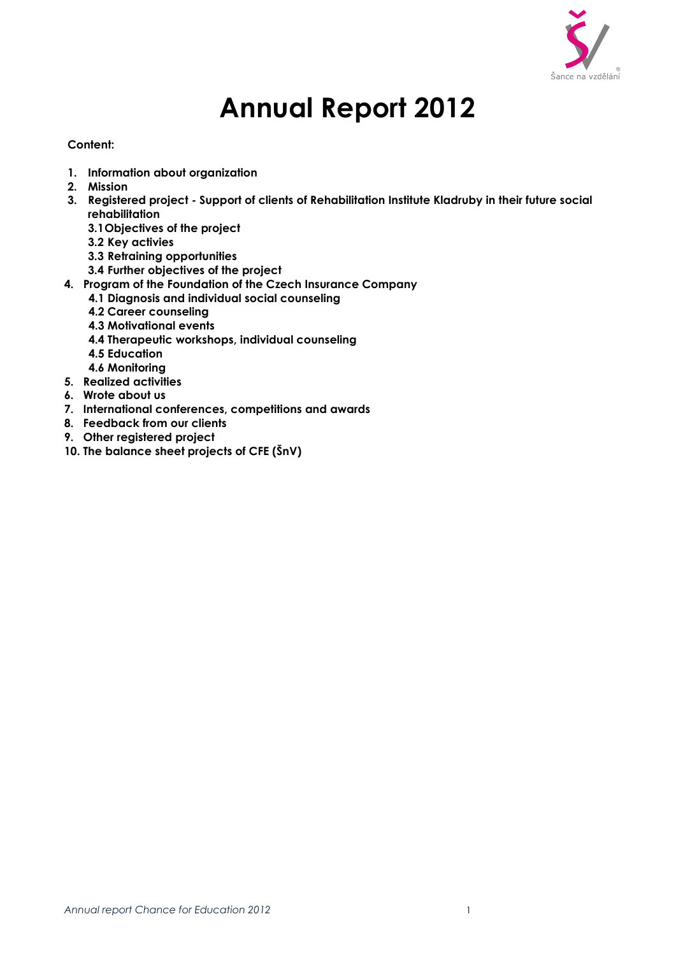

# **Annual Report 2012**

## **Content:**

- **1. Information about organization**
- **2. Mission**
- **3. Registered project - Support of clients of Rehabilitation Institute Kladruby in their future social rehabilitation**
	- **3.1Objectives of the project**
	- **3.2 Key activies**
	- **3.3 Retraining opportunities**
	- **3.4 Further objectives of the project**
- **4. Program of the Foundation of the Czech Insurance Company**
	- **4.1 Diagnosis and individual social counseling**
	- **4.2 Career counseling**
	- **4.3 Motivational events**
	- **4.4 Therapeutic workshops, individual counseling**
	- **4.5 Education**
	- **4.6 Monitoring**
- **5. Realized activities**
- **6. Wrote about us**
- **7. International conferences, competitions and awards**
- **8. Feedback from our clients**
- **9. Other registered project**
- **10. The balance sheet projects of CFE (ŠnV)**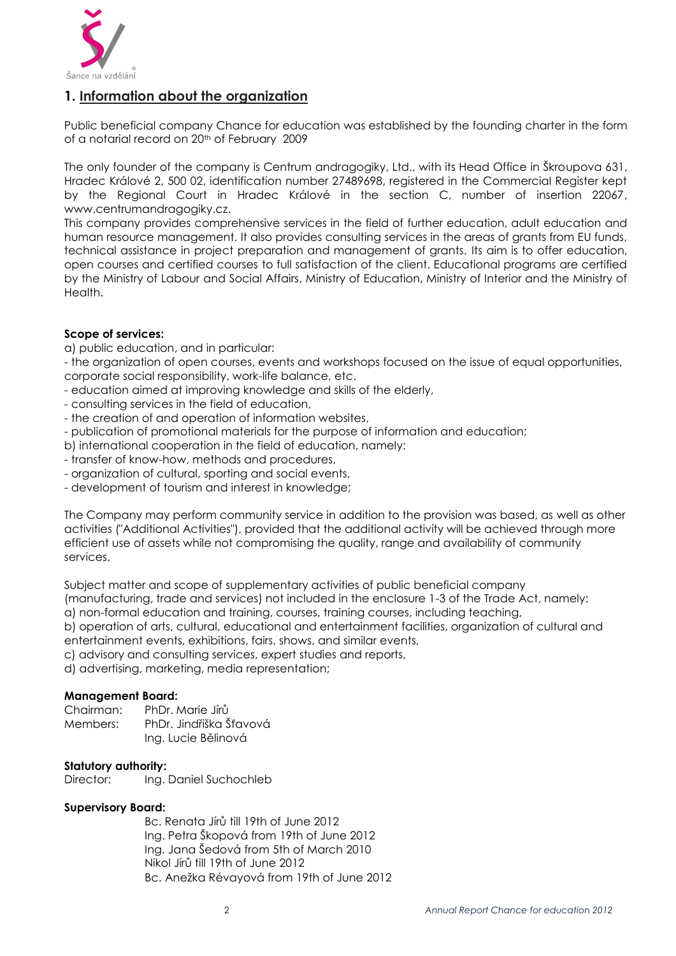

# **1. Information about the organization**

Public beneficial company Chance for education was established by the founding charter in the form of a notarial record on 20<sup>th</sup> of February 2009

The only founder of the company is Centrum andragogiky, Ltd., with its Head Office in Škroupova 631, Hradec Králové 2, 500 02, identification number 27489698, registered in the Commercial Register kept by the Regional Court in Hradec Králové in the section C, number of insertion 22067, www.centrumandragogiky.cz.

This company provides comprehensive services in the field of further education, adult education and human resource management. It also provides consulting services in the areas of grants from EU funds, technical assistance in project preparation and management of grants. Its aim is to offer education, open courses and certified courses to full satisfaction of the client. Educational programs are certified by the Ministry of Labour and Social Affairs, Ministry of Education, Ministry of Interior and the Ministry of Health.

## **Scope of services:**

a) public education, and in particular:

- the organization of open courses, events and workshops focused on the issue of equal opportunities, corporate social responsibility, work-life balance, etc.

- education aimed at improving knowledge and skills of the elderly,
- consulting services in the field of education,
- the creation of and operation of information websites,
- publication of promotional materials for the purpose of information and education;

b) international cooperation in the field of education, namely:

- transfer of know-how, methods and procedures,
- organization of cultural, sporting and social events,
- development of tourism and interest in knowledge;

The Company may perform community service in addition to the provision was based, as well as other activities ("Additional Activities"), provided that the additional activity will be achieved through more efficient use of assets while not compromising the quality, range and availability of community services.

Subject matter and scope of supplementary activities of public beneficial company (manufacturing, trade and services) not included in the enclosure 1-3 of the Trade Act, namely:

a) non-formal education and training, courses, training courses, including teaching,

b) operation of arts, cultural, educational and entertainment facilities, organization of cultural and entertainment events, exhibitions, fairs, shows, and similar events,

c) advisory and consulting services, expert studies and reports,

d) advertising, marketing, media representation;

#### **Management Board:**

| Chairman: | PhDr. Marie Jírů        |  |
|-----------|-------------------------|--|
| Members:  | PhDr. Jindřiška Šťavová |  |
|           | Ing. Lucie Bělinová     |  |

#### **Statutory authority:**

Director: Ing. Daniel Suchochleb

#### **Supervisory Board:**

Bc. Renata Jírů till 19th of June 2012 Ing. Petra Škopová from 19th of June 2012 Ing. Jana Šedová from 5th of March 2010 Nikol Jírů till 19th of June 2012 Bc. Anežka Révayová from 19th of June 2012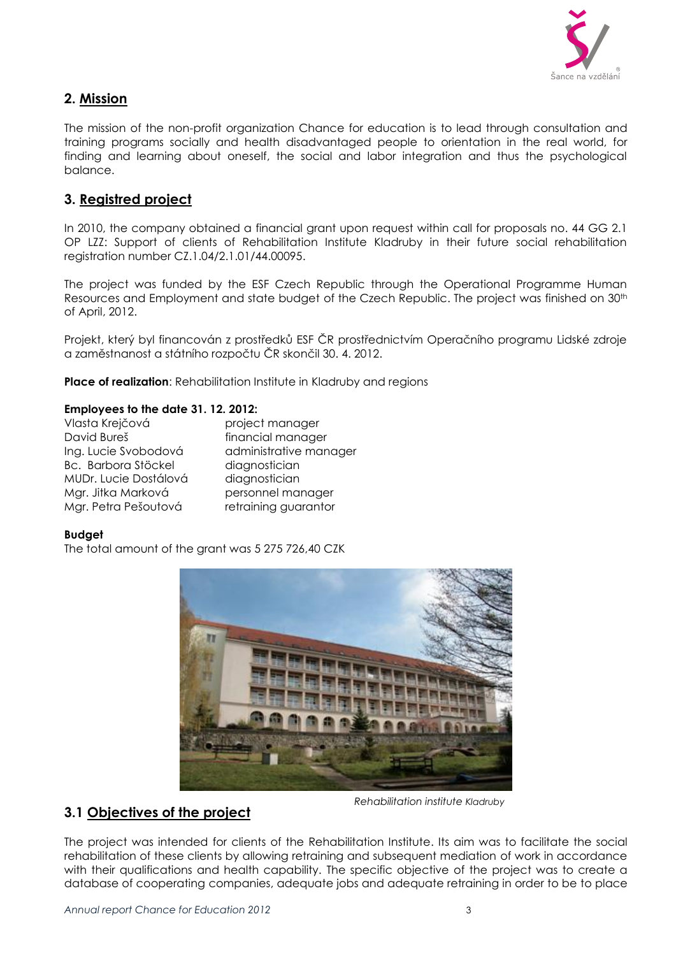

# **2. Mission**

The mission of the non-profit organization Chance for education is to lead through consultation and training programs socially and health disadvantaged people to orientation in the real world, for finding and learning about oneself, the social and labor integration and thus the psychological balance.

# **3. Registred project**

In 2010, the company obtained a financial grant upon request within call for proposals no. 44 GG 2.1 OP LZZ: Support of clients of Rehabilitation Institute Kladruby in their future social rehabilitation registration number CZ.1.04/2.1.01/44.00095.

The project was funded by the ESF Czech Republic through the Operational Programme Human Resources and Employment and state budget of the Czech Republic. The project was finished on 30th of April, 2012.

Projekt, který byl financován z prostředků ESF ČR prostřednictvím Operačního programu Lidské zdroje a zaměstnanost a státního rozpočtu ČR skončil 30. 4. 2012.

**Place of realization:** Rehabilitation Institute in Kladruby and regions

## **Employees to the date 31. 12. 2012:**

| Vlasta Krejčová       |  |  |
|-----------------------|--|--|
| David Bureš           |  |  |
| Ing. Lucie Svobodová  |  |  |
| Bc. Barbora Stöckel   |  |  |
| MUDr. Lucie Dostálová |  |  |
| Mgr. Jitka Marková    |  |  |
| Mar. Petra Pešoutová  |  |  |

project manager financial manager administrative manager diagnostician diagnostician personnel manager retraining guarantor

#### **Budget**

The total amount of the grant was 5 275 726,40 CZK



# **3.1 Objectives of the project**

*Rehabilitation institute Kladruby*

The project was intended for clients of the Rehabilitation Institute. Its aim was to facilitate the social rehabilitation of these clients by allowing retraining and subsequent mediation of work in accordance with their qualifications and health capability. The specific objective of the project was to create a database of cooperating companies, adequate jobs and adequate retraining in order to be to place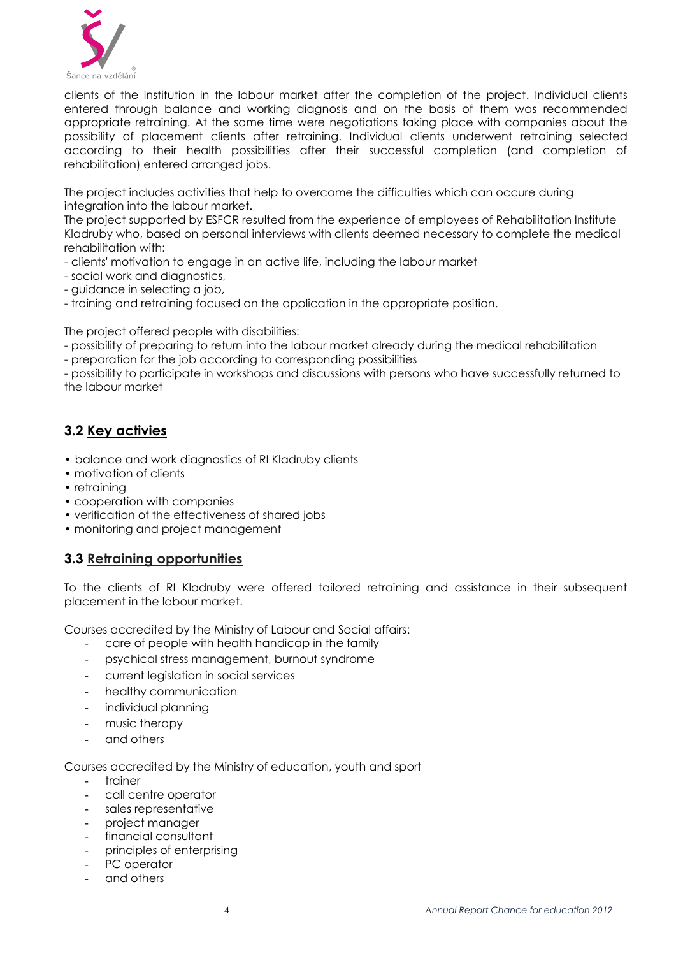

clients of the institution in the labour market after the completion of the project. Individual clients entered through balance and working diagnosis and on the basis of them was recommended appropriate retraining. At the same time were negotiations taking place with companies about the possibility of placement clients after retraining. Individual clients underwent retraining selected according to their health possibilities after their successful completion (and completion of rehabilitation) entered arranged jobs.

The project includes activities that help to overcome the difficulties which can occure during integration into the labour market.

The project supported by ESFCR resulted from the experience of employees of Rehabilitation Institute Kladruby who, based on personal interviews with clients deemed necessary to complete the medical rehabilitation with:

- clients' motivation to engage in an active life, including the labour market
- social work and diagnostics,
- guidance in selecting a job,
- training and retraining focused on the application in the appropriate position.

The project offered people with disabilities:

- possibility of preparing to return into the labour market already during the medical rehabilitation
- preparation for the job according to corresponding possibilities

- possibility to participate in workshops and discussions with persons who have successfully returned to the labour market

# **3.2 Key activies**

- balance and work diagnostics of RI Kladruby clients
- motivation of clients
- retraining
- cooperation with companies
- verification of the effectiveness of shared jobs
- monitoring and project management

## **3.3 Retraining opportunities**

To the clients of RI Kladruby were offered tailored retraining and assistance in their subsequent placement in the labour market.

Courses accredited by the Ministry of Labour and Social affairs:

- care of people with health handicap in the family
- psychical stress management, burnout syndrome
- current legislation in social services
- healthy communication
- individual planning
- music therapy
- and others

#### Courses accredited by the Ministry of education, youth and sport

- trainer
- call centre operator
- sales representative
- project manager
- financial consultant
- principles of enterprising
- PC operator
- and others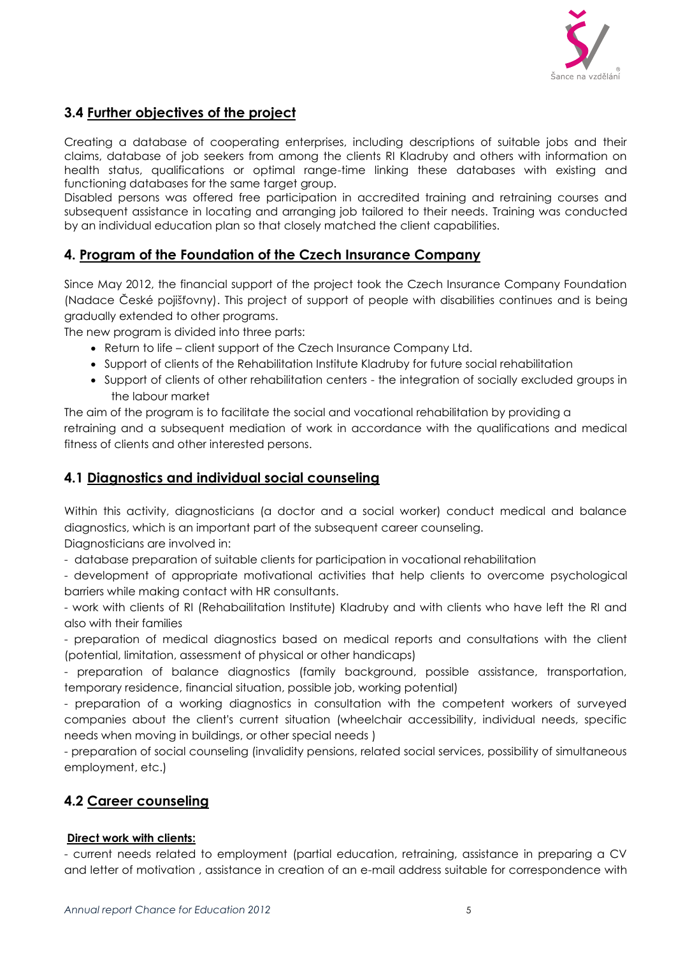

# **3.4 Further objectives of the project**

Creating a database of cooperating enterprises, including descriptions of suitable jobs and their claims, database of job seekers from among the clients RI Kladruby and others with information on health status, qualifications or optimal range-time linking these databases with existing and functioning databases for the same target group.

Disabled persons was offered free participation in accredited training and retraining courses and subsequent assistance in locating and arranging job tailored to their needs. Training was conducted by an individual education plan so that closely matched the client capabilities.

# **4. Program of the Foundation of the Czech Insurance Company**

Since May 2012, the financial support of the project took the Czech Insurance Company Foundation (Nadace České pojišťovny). This project of support of people with disabilities continues and is being gradually extended to other programs.

The new program is divided into three parts:

- Return to life client support of the Czech Insurance Company Ltd.
- Support of clients of the Rehabilitation Institute Kladruby for future social rehabilitation
- Support of clients of other rehabilitation centers the integration of socially excluded groups in the labour market

The aim of the program is to facilitate the social and vocational rehabilitation by providing a retraining and a subsequent mediation of work in accordance with the qualifications and medical fitness of clients and other interested persons.

## **4.1 Diagnostics and individual social counseling**

Within this activity, diagnosticians (a doctor and a social worker) conduct medical and balance diagnostics, which is an important part of the subsequent career counseling.

Diagnosticians are involved in:

- database preparation of suitable clients for participation in vocational rehabilitation

- development of appropriate motivational activities that help clients to overcome psychological barriers while making contact with HR consultants.

- work with clients of RI (Rehabailitation Institute) Kladruby and with clients who have left the RI and also with their families

- preparation of medical diagnostics based on medical reports and consultations with the client (potential, limitation, assessment of physical or other handicaps)

- preparation of balance diagnostics (family background, possible assistance, transportation, temporary residence, financial situation, possible job, working potential)

- preparation of a working diagnostics in consultation with the competent workers of surveyed companies about the client's current situation (wheelchair accessibility, individual needs, specific needs when moving in buildings, or other special needs )

- preparation of social counseling (invalidity pensions, related social services, possibility of simultaneous employment, etc.)

# **4.2 Career counseling**

## **Direct work with clients:**

- current needs related to employment (partial education, retraining, assistance in preparing a CV and letter of motivation , assistance in creation of an e-mail address suitable for correspondence with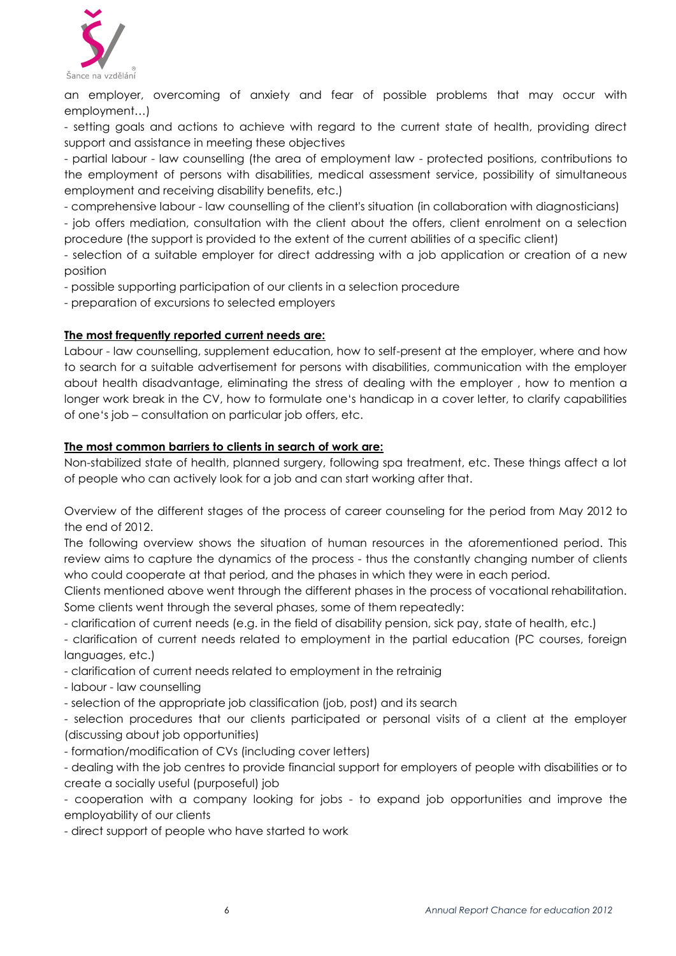

an employer, overcoming of anxiety and fear of possible problems that may occur with employment…)

- setting goals and actions to achieve with regard to the current state of health, providing direct support and assistance in meeting these objectives

- partial labour - law counselling (the area of employment law - protected positions, contributions to the employment of persons with disabilities, medical assessment service, possibility of simultaneous employment and receiving disability benefits, etc.)

- comprehensive labour - law counselling of the client's situation (in collaboration with diagnosticians)

- job offers mediation, consultation with the client about the offers, client enrolment on a selection procedure (the support is provided to the extent of the current abilities of a specific client)

- selection of a suitable employer for direct addressing with a job application or creation of a new position

- possible supporting participation of our clients in a selection procedure

- preparation of excursions to selected employers

## **The most frequently reported current needs are:**

Labour - law counselling, supplement education, how to self-present at the employer, where and how to search for a suitable advertisement for persons with disabilities, communication with the employer about health disadvantage, eliminating the stress of dealing with the employer , how to mention a longer work break in the CV, how to formulate one's handicap in a cover letter, to clarify capabilities of one's job – consultation on particular job offers, etc.

## **The most common barriers to clients in search of work are:**

Non-stabilized state of health, planned surgery, following spa treatment, etc. These things affect a lot of people who can actively look for a job and can start working after that.

Overview of the different stages of the process of career counseling for the period from May 2012 to the end of 2012.

The following overview shows the situation of human resources in the aforementioned period. This review aims to capture the dynamics of the process - thus the constantly changing number of clients who could cooperate at that period, and the phases in which they were in each period.

Clients mentioned above went through the different phases in the process of vocational rehabilitation. Some clients went through the several phases, some of them repeatedly:

- clarification of current needs (e.g. in the field of disability pension, sick pay, state of health, etc.)

- clarification of current needs related to employment in the partial education (PC courses, foreign languages, etc.)

- clarification of current needs related to employment in the retrainig

- labour - law counselling

- selection of the appropriate job classification (job, post) and its search

- selection procedures that our clients participated or personal visits of a client at the employer (discussing about job opportunities)

- formation/modification of CVs (including cover letters)

- dealing with the job centres to provide financial support for employers of people with disabilities or to create a socially useful (purposeful) job

- cooperation with a company looking for jobs - to expand job opportunities and improve the employability of our clients

- direct support of people who have started to work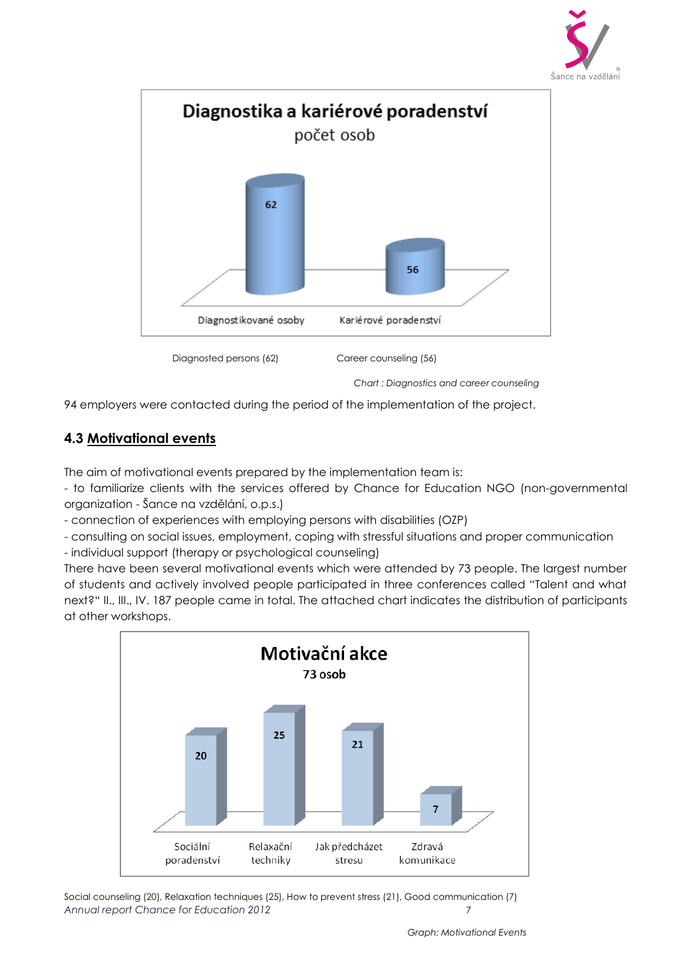



*Chart : Diagnostics and career counseling*

94 employers were contacted during the period of the implementation of the project.

# **4.3 Motivational events**

The aim of motivational events prepared by the implementation team is:

- to familiarize clients with the services offered by Chance for Education NGO (non-governmental organization - Šance na vzdělání, o.p.s.)

- connection of experiences with employing persons with disabilities (OZP)

- consulting on social issues, employment, coping with stressful situations and proper communication

- individual support (therapy or psychological counseling)

There have been several motivational events which were attended by 73 people. The largest number of students and actively involved people participated in three conferences called "Talent and what next?" II., III., IV. 187 people came in total. The attached chart indicates the distribution of participants at other workshops.



*Annual report Chance for Education 2012* 7 Social counseling (20), Relaxation techniques (25), How to prevent stress (21), Good communication (7)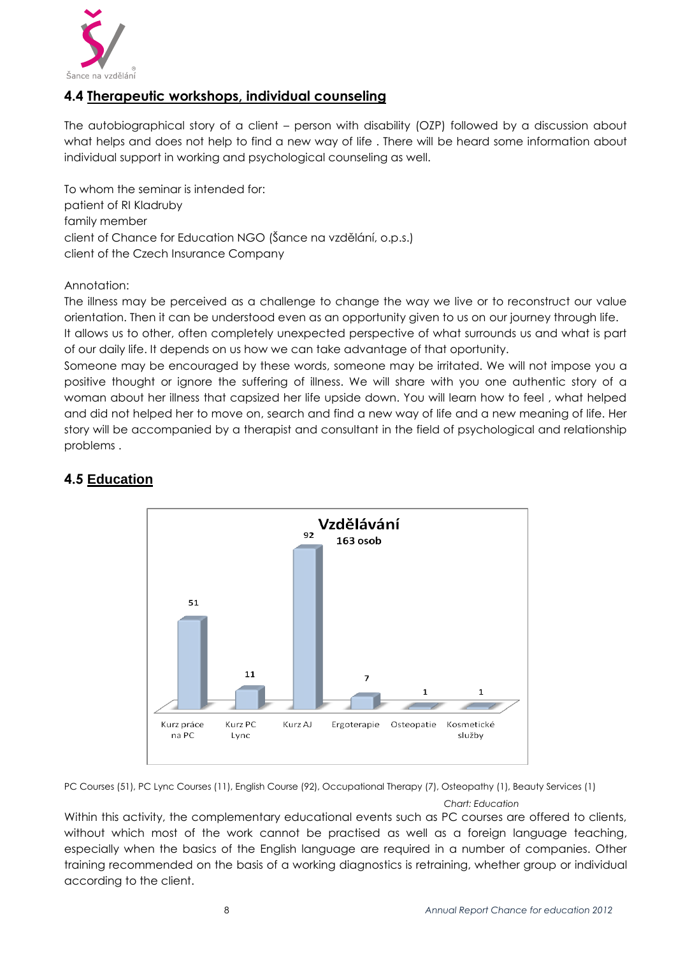

# **4.4 Therapeutic workshops, individual counseling**

The autobiographical story of a client – person with disability (OZP) followed by a discussion about what helps and does not help to find a new way of life . There will be heard some information about individual support in working and psychological counseling as well.

To whom the seminar is intended for: patient of RI Kladruby family member client of Chance for Education NGO (Šance na vzdělání, o.p.s.) client of the Czech Insurance Company

Annotation:

The illness may be perceived as a challenge to change the way we live or to reconstruct our value orientation. Then it can be understood even as an opportunity given to us on our journey through life. It allows us to other, often completely unexpected perspective of what surrounds us and what is part of our daily life. It depends on us how we can take advantage of that oportunity.

Someone may be encouraged by these words, someone may be irritated. We will not impose you a positive thought or ignore the suffering of illness. We will share with you one authentic story of a woman about her illness that capsized her life upside down. You will learn how to feel , what helped and did not helped her to move on, search and find a new way of life and a new meaning of life. Her story will be accompanied by a therapist and consultant in the field of psychological and relationship problems .



# **4.5 Education**

PC Courses (51), PC Lync Courses (11), English Course (92), Occupational Therapy (7), Osteopathy (1), Beauty Services (1) *Chart: Education*

Within this activity, the complementary educational events such as PC courses are offered to clients, without which most of the work cannot be practised as well as a foreign language teaching, especially when the basics of the English language are required in a number of companies. Other training recommended on the basis of a working diagnostics is retraining, whether group or individual according to the client.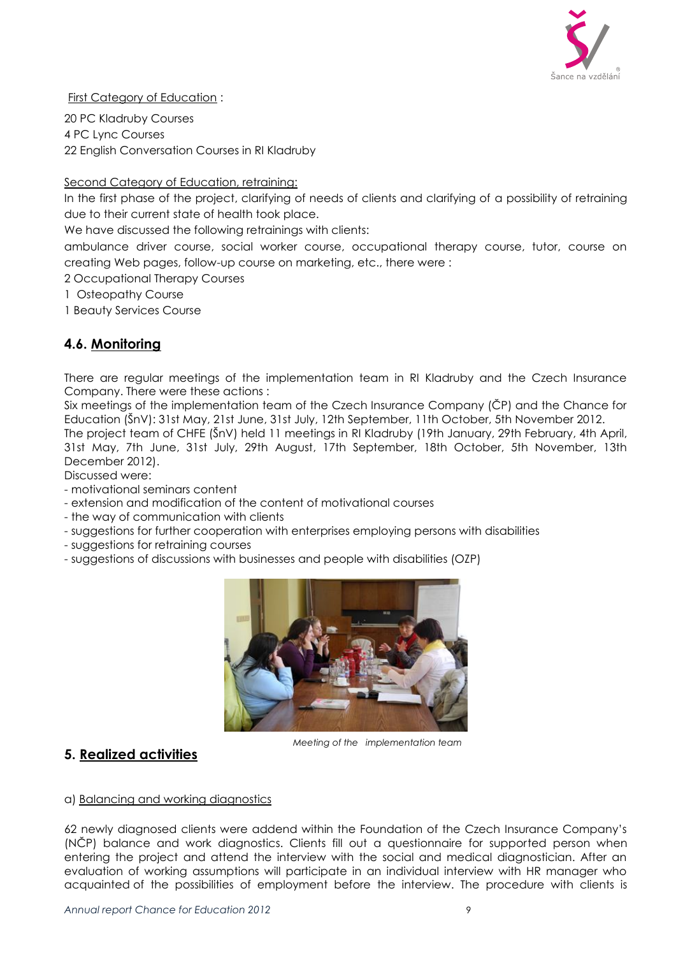

First Category of Education :

20 PC Kladruby Courses 4 PC Lync Courses 22 English Conversation Courses in RI Kladruby

Second Category of Education, retraining:

In the first phase of the project, clarifying of needs of clients and clarifying of a possibility of retraining due to their current state of health took place.

We have discussed the following retrainings with clients:

ambulance driver course, social worker course, occupational therapy course, tutor, course on creating Web pages, follow-up course on marketing, etc., there were :

2 Occupational Therapy Courses

- 1 Osteopathy Course
- 1 Beauty Services Course

# **4.6. Monitoring**

There are regular meetings of the implementation team in RI Kladruby and the Czech Insurance Company. There were these actions :

Six meetings of the implementation team of the Czech Insurance Company (ČP) and the Chance for Education (ŠnV): 31st May, 21st June, 31st July, 12th September, 11th October, 5th November 2012. The project team of CHFE (ŠnV) held 11 meetings in RI Kladruby (19th January, 29th February, 4th April, 31st May, 7th June, 31st July, 29th August, 17th September, 18th October, 5th November, 13th December 2012).

Discussed were:

- motivational seminars content
- extension and modification of the content of motivational courses
- the way of communication with clients
- suggestions for further cooperation with enterprises employing persons with disabilities
- suggestions for retraining courses
- suggestions of discussions with businesses and people with disabilities (OZP)



*Meeting of the implementation team*

# **5. Realized activities**

#### a) Balancing and working diagnostics

62 newly diagnosed clients were addend within the Foundation of the Czech Insurance Company's (NČP) balance and work diagnostics. Clients fill out a questionnaire for supported person when entering the project and attend the interview with the social and medical diagnostician. After an evaluation of working assumptions will participate in an individual interview with HR manager who acquainted of the possibilities of employment before the interview. The procedure with clients is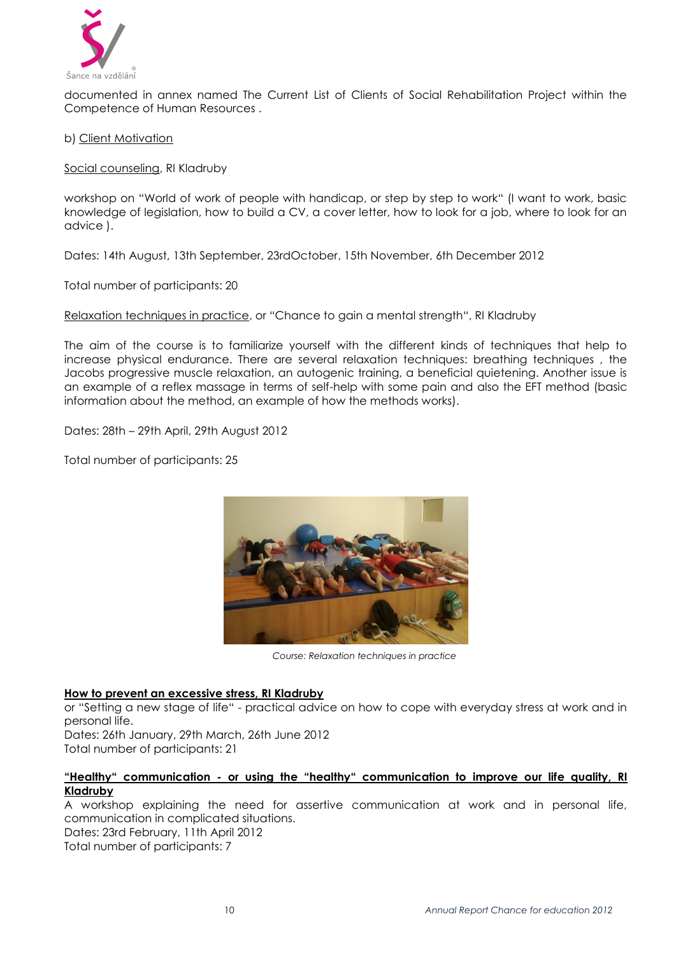

documented in annex named The Current List of Clients of Social Rehabilitation Project within the Competence of Human Resources .

#### b) Client Motivation

#### Social counseling, RI Kladruby

workshop on "World of work of people with handicap, or step by step to work" (I want to work, basic knowledge of legislation, how to build a CV, a cover letter, how to look for a job, where to look for an advice ).

Dates: 14th August, 13th September, 23rdOctober, 15th November, 6th December 2012

Total number of participants: 20

Relaxation techniques in practice, or "Chance to gain a mental strength", RI Kladruby

The aim of the course is to familiarize yourself with the different kinds of techniques that help to increase physical endurance. There are several relaxation techniques: breathing techniques , the Jacobs progressive muscle relaxation, an autogenic training, a beneficial quietening. Another issue is an example of a reflex massage in terms of self-help with some pain and also the EFT method (basic information about the method, an example of how the methods works).

Dates: 28th – 29th April, 29th August 2012

Total number of participants: 25



*Course: Relaxation techniques in practice*

#### **How to prevent an excessive stress, RI Kladruby**

or "Setting a new stage of life" - practical advice on how to cope with everyday stress at work and in personal life.

Dates: 26th January, 29th March, 26th June 2012 Total number of participants: 21

## **"Healthy" communication - or using the "healthy" communication to improve our life quality, RI Kladruby**

A workshop explaining the need for assertive communication at work and in personal life, communication in complicated situations.

Dates: 23rd February, 11th April 2012 Total number of participants: 7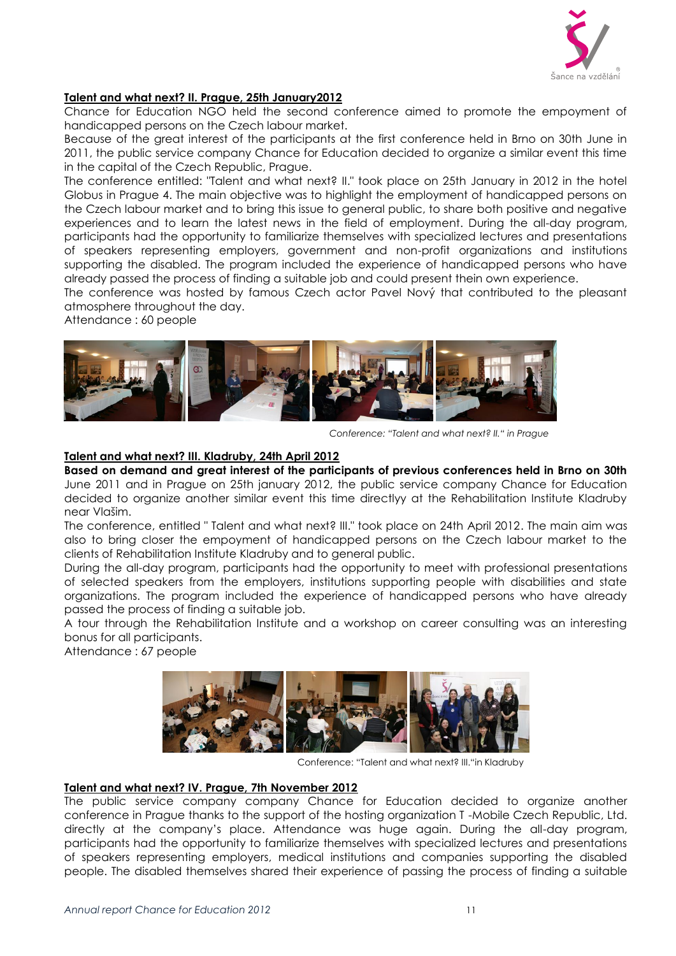

## **Talent and what next? II. Prague, 25th January2012**

Chance for Education NGO held the second conference aimed to promote the empoyment of handicapped persons on the Czech labour market.

Because of the great interest of the participants at the first conference held in Brno on 30th June in 2011, the public service company Chance for Education decided to organize a similar event this time in the capital of the Czech Republic, Prague.

The conference entitled: "Talent and what next? II." took place on 25th January in 2012 in the hotel Globus in Prague 4. The main objective was to highlight the employment of handicapped persons on the Czech labour market and to bring this issue to general public, to share both positive and negative experiences and to learn the latest news in the field of employment. During the all-day program, participants had the opportunity to familiarize themselves with specialized lectures and presentations of speakers representing employers, government and non-profit organizations and institutions supporting the disabled. The program included the experience of handicapped persons who have already passed the process of finding a suitable job and could present thein own experience.

The conference was hosted by famous Czech actor Pavel Nový that contributed to the pleasant atmosphere throughout the day.

Attendance : 60 people



*Conference: "Talent and what next? II." in Prague*

#### **Talent and what next? III. Kladruby, 24th April 2012**

**Based on demand and great interest of the participants of previous conferences held in Brno on 30th** June 2011 and in Prague on 25th january 2012, the public service company Chance for Education decided to organize another similar event this time directlyy at the Rehabilitation Institute Kladruby near Vlašim.

The conference, entitled " Talent and what next? III." took place on 24th April 2012. The main aim was also to bring closer the empoyment of handicapped persons on the Czech labour market to the clients of Rehabilitation Institute Kladruby and to general public.

During the all-day program, participants had the opportunity to meet with professional presentations of selected speakers from the employers, institutions supporting people with disabilities and state organizations. The program included the experience of handicapped persons who have already passed the process of finding a suitable job.

A tour through the Rehabilitation Institute and a workshop on career consulting was an interesting bonus for all participants.

Attendance : 67 people



Conference: "Talent and what next? III."in Kladruby

#### **Talent and what next? IV. Prague, 7th November 2012**

The public service company company Chance for Education decided to organize another conference in Prague thanks to the support of the hosting organization T -Mobile Czech Republic, Ltd. directly at the company's place. Attendance was huge again. During the all-day program, participants had the opportunity to familiarize themselves with specialized lectures and presentations of speakers representing employers, medical institutions and companies supporting the disabled people. The disabled themselves shared their experience of passing the process of finding a suitable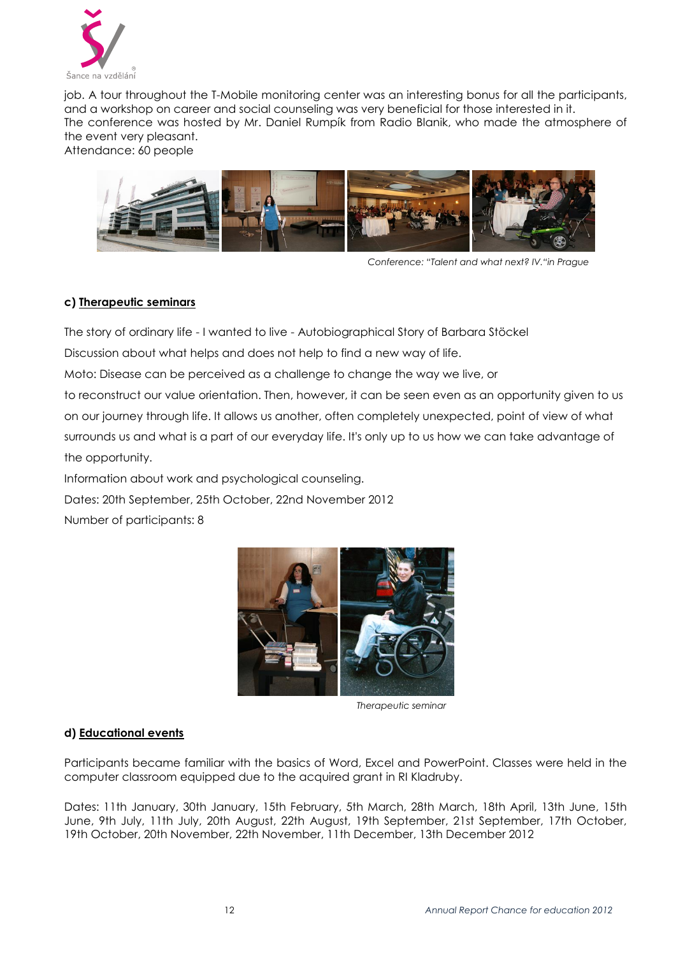

job. A tour throughout the T-Mobile monitoring center was an interesting bonus for all the participants, and a workshop on career and social counseling was very beneficial for those interested in it. The conference was hosted by Mr. Daniel Rumpík from Radio Blanik, who made the atmosphere of the event very pleasant.

Attendance: 60 people



*Conference: "Talent and what next? IV."in Prague*

## **c) Therapeutic seminars**

The story of ordinary life - I wanted to live - Autobiographical Story of Barbara Stöckel

Discussion about what helps and does not help to find a new way of life.

Moto: Disease can be perceived as a challenge to change the way we live, or

to reconstruct our value orientation. Then, however, it can be seen even as an opportunity given to us on our journey through life. It allows us another, often completely unexpected, point of view of what surrounds us and what is a part of our everyday life. It's only up to us how we can take advantage of the opportunity.

Information about work and psychological counseling. Dates: 20th September, 25th October, 22nd November 2012





*Therapeutic seminar*

#### **d) Educational events**

Participants became familiar with the basics of Word, Excel and PowerPoint. Classes were held in the computer classroom equipped due to the acquired grant in RI Kladruby.

Dates: 11th January, 30th January, 15th February, 5th March, 28th March, 18th April, 13th June, 15th June, 9th July, 11th July, 20th August, 22th August, 19th September, 21st September, 17th October, 19th October, 20th November, 22th November, 11th December, 13th December 2012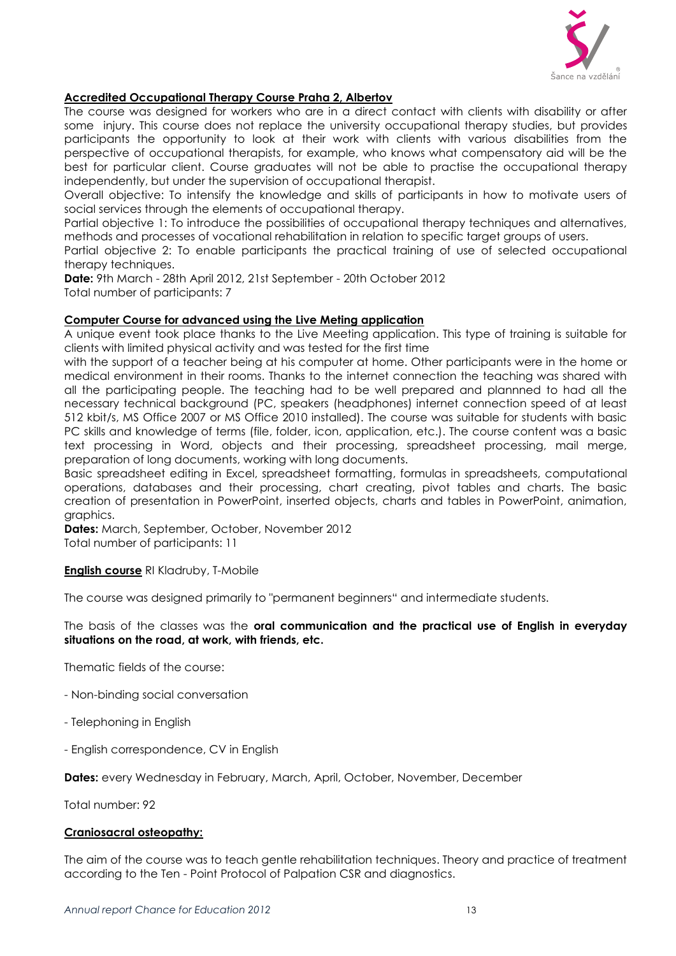

## **Accredited Occupational Therapy Course Praha 2, Albertov**

The course was designed for workers who are in a direct contact with clients with disability or after some injury. This course does not replace the university occupational therapy studies, but provides participants the opportunity to look at their work with clients with various disabilities from the perspective of occupational therapists, for example, who knows what compensatory aid will be the best for particular client. Course graduates will not be able to practise the occupational therapy independently, but under the supervision of occupational therapist.

Overall objective: To intensify the knowledge and skills of participants in how to motivate users of social services through the elements of occupational therapy.

Partial objective 1: To introduce the possibilities of occupational therapy techniques and alternatives, methods and processes of vocational rehabilitation in relation to specific target groups of users.

Partial objective 2: To enable participants the practical training of use of selected occupational therapy techniques.

**Date:** 9th March - 28th April 2012, 21st September - 20th October 2012 Total number of participants: 7

#### **Computer Course for advanced using the Live Meting application**

A unique event took place thanks to the Live Meeting application. This type of training is suitable for clients with limited physical activity and was tested for the first time

with the support of a teacher being at his computer at home. Other participants were in the home or medical environment in their rooms. Thanks to the internet connection the teaching was shared with all the participating people. The teaching had to be well prepared and plannned to had all the necessary technical background (PC, speakers (headphones) internet connection speed of at least 512 kbit/s, MS Office 2007 or MS Office 2010 installed). The course was suitable for students with basic PC skills and knowledge of terms (file, folder, icon, application, etc.). The course content was a basic text processing in Word, objects and their processing, spreadsheet processing, mail merge, preparation of long documents, working with long documents.

Basic spreadsheet editing in Excel, spreadsheet formatting, formulas in spreadsheets, computational operations, databases and their processing, chart creating, pivot tables and charts. The basic creation of presentation in PowerPoint, inserted objects, charts and tables in PowerPoint, animation, graphics.

**Dates:** March, September, October, November 2012 Total number of participants: 11

#### **English course** RI Kladruby, T-Mobile

The course was designed primarily to "permanent beginners" and intermediate students.

The basis of the classes was the **oral communication and the practical use of English in everyday situations on the road, at work, with friends, etc.**

Thematic fields of the course:

- Non-binding social conversation
- Telephoning in English
- English correspondence, CV in English

**Dates:** every Wednesday in February, March, April, October, November, December

Total number: 92

#### **Craniosacral osteopathy:**

The aim of the course was to teach gentle rehabilitation techniques. Theory and practice of treatment according to the Ten - Point Protocol of Palpation CSR and diagnostics.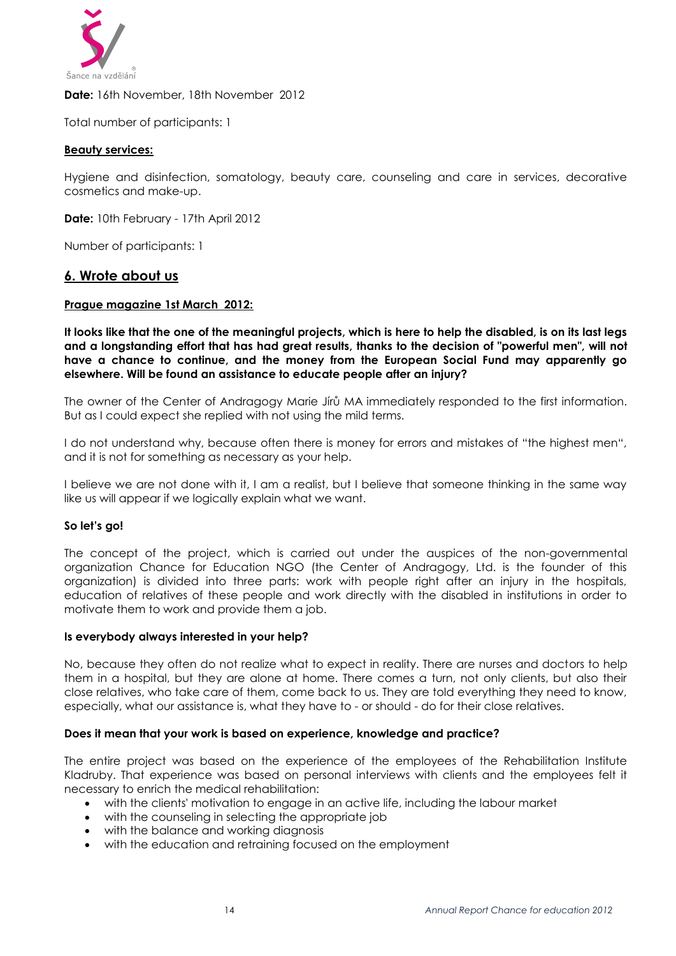

**Date:** 16th November, 18th November 2012

Total number of participants: 1

#### **Beauty services:**

Hygiene and disinfection, somatology, beauty care, counseling and care in services, decorative cosmetics and make-up.

**Date:** 10th February - 17th April 2012

Number of participants: 1

## **6. Wrote about us**

#### **Prague magazine 1st March 2012:**

**It looks like that the one of the meaningful projects, which is here to help the disabled, is on its last legs and a longstanding effort that has had great results, thanks to the decision of "powerful men", will not have a chance to continue, and the money from the European Social Fund may apparently go elsewhere. Will be found an assistance to educate people after an injury?**

The owner of the Center of Andragogy Marie Jírů MA immediately responded to the first information. But as I could expect she replied with not using the mild terms.

I do not understand why, because often there is money for errors and mistakes of "the highest men", and it is not for something as necessary as your help.

I believe we are not done with it, I am a realist, but I believe that someone thinking in the same way like us will appear if we logically explain what we want.

#### **So let's go!**

The concept of the project, which is carried out under the auspices of the non-governmental organization Chance for Education NGO (the Center of Andragogy, Ltd. is the founder of this organization) is divided into three parts: work with people right after an injury in the hospitals, education of relatives of these people and work directly with the disabled in institutions in order to motivate them to work and provide them a job.

#### **Is everybody always interested in your help?**

No, because they often do not realize what to expect in reality. There are nurses and doctors to help them in a hospital, but they are alone at home. There comes a turn, not only clients, but also their close relatives, who take care of them, come back to us. They are told everything they need to know, especially, what our assistance is, what they have to - or should - do for their close relatives.

#### **Does it mean that your work is based on experience, knowledge and practice?**

The entire project was based on the experience of the employees of the Rehabilitation Institute Kladruby. That experience was based on personal interviews with clients and the employees felt it necessary to enrich the medical rehabilitation:

- with the clients' motivation to engage in an active life, including the labour market
- with the counseling in selecting the appropriate job
- with the balance and working diagnosis
- with the education and retraining focused on the employment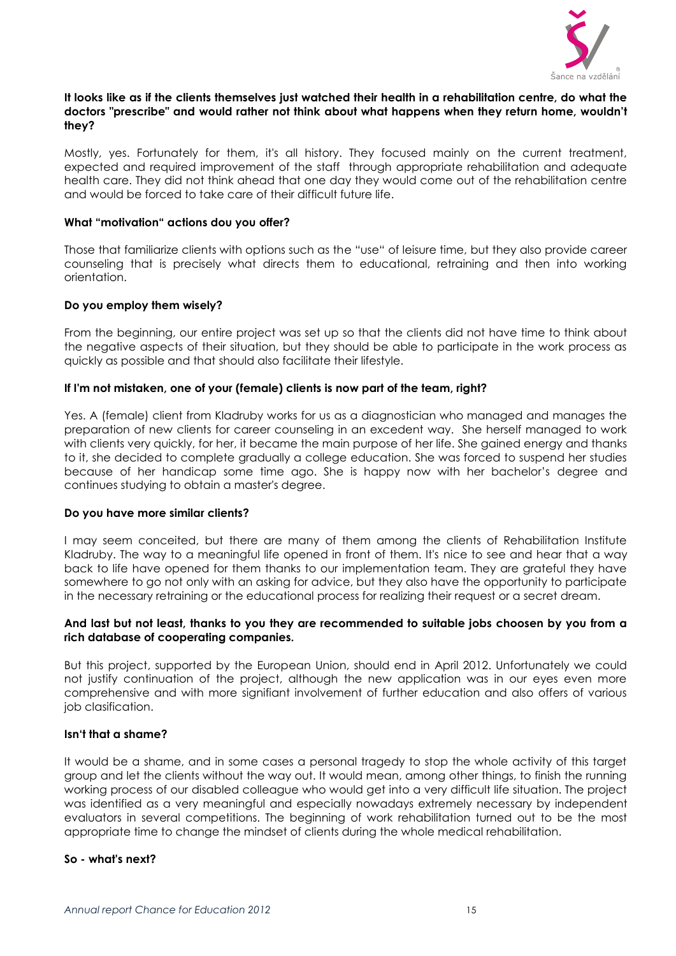

#### **It looks like as if the clients themselves just watched their health in a rehabilitation centre, do what the doctors "prescribe" and would rather not think about what happens when they return home, wouldn't they?**

Mostly, yes. Fortunately for them, it's all history. They focused mainly on the current treatment, expected and required improvement of the staff through appropriate rehabilitation and adequate health care. They did not think ahead that one day they would come out of the rehabilitation centre and would be forced to take care of their difficult future life.

#### **What "motivation" actions dou you offer?**

Those that familiarize clients with options such as the "use" of leisure time, but they also provide career counseling that is precisely what directs them to educational, retraining and then into working orientation.

#### **Do you employ them wisely?**

From the beginning, our entire project was set up so that the clients did not have time to think about the negative aspects of their situation, but they should be able to participate in the work process as quickly as possible and that should also facilitate their lifestyle.

#### **If I'm not mistaken, one of your (female) clients is now part of the team, right?**

Yes. A (female) client from Kladruby works for us as a diagnostician who managed and manages the preparation of new clients for career counseling in an excedent way. She herself managed to work with clients very quickly, for her, it became the main purpose of her life. She gained energy and thanks to it, she decided to complete gradually a college education. She was forced to suspend her studies because of her handicap some time ago. She is happy now with her bachelor's degree and continues studying to obtain a master's degree.

#### **Do you have more similar clients?**

I may seem conceited, but there are many of them among the clients of Rehabilitation Institute Kladruby. The way to a meaningful life opened in front of them. It's nice to see and hear that a way back to life have opened for them thanks to our implementation team. They are grateful they have somewhere to go not only with an asking for advice, but they also have the opportunity to participate in the necessary retraining or the educational process for realizing their request or a secret dream.

#### **And last but not least, thanks to you they are recommended to suitable jobs choosen by you from a rich database of cooperating companies.**

But this project, supported by the European Union, should end in April 2012. Unfortunately we could not justify continuation of the project, although the new application was in our eyes even more comprehensive and with more signifiant involvement of further education and also offers of various job clasification.

#### **Isn't that a shame?**

It would be a shame, and in some cases a personal tragedy to stop the whole activity of this target group and let the clients without the way out. It would mean, among other things, to finish the running working process of our disabled colleague who would get into a very difficult life situation. The project was identified as a very meaningful and especially nowadays extremely necessary by independent evaluators in several competitions. The beginning of work rehabilitation turned out to be the most appropriate time to change the mindset of clients during the whole medical rehabilitation.

#### **So - what's next?**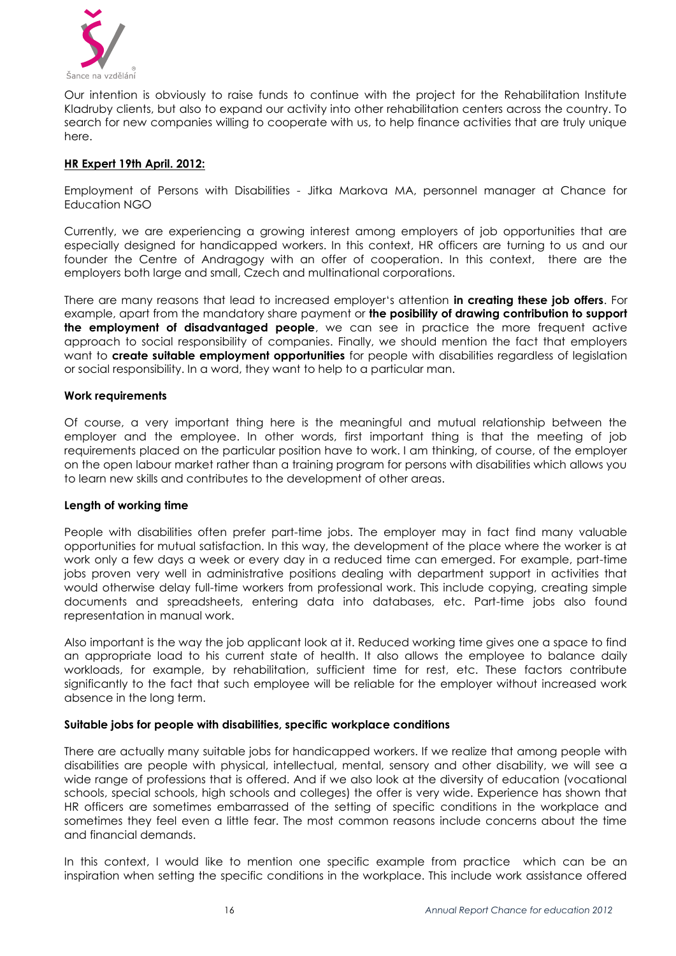

Our intention is obviously to raise funds to continue with the project for the Rehabilitation Institute Kladruby clients, but also to expand our activity into other rehabilitation centers across the country. To search for new companies willing to cooperate with us, to help finance activities that are truly unique here.

#### **HR Expert 19th April. 2012:**

Employment of Persons with Disabilities - Jitka Markova MA, personnel manager at Chance for Education NGO

Currently, we are experiencing a growing interest among employers of job opportunities that are especially designed for handicapped workers. In this context, HR officers are turning to us and our founder the Centre of Andragogy with an offer of cooperation. In this context, there are the employers both large and small, Czech and multinational corporations.

There are many reasons that lead to increased employer's attention **in creating these job offers**. For example, apart from the mandatory share payment or **the posibility of drawing contribution to support the employment of disadvantaged people**, we can see in practice the more frequent active approach to social responsibility of companies. Finally, we should mention the fact that employers want to **create suitable employment opportunities** for people with disabilities regardless of legislation or social responsibility. In a word, they want to help to a particular man.

#### **Work requirements**

Of course, a very important thing here is the meaningful and mutual relationship between the employer and the employee. In other words, first important thing is that the meeting of job requirements placed on the particular position have to work. I am thinking, of course, of the employer on the open labour market rather than a training program for persons with disabilities which allows you to learn new skills and contributes to the development of other areas.

#### **Length of working time**

People with disabilities often prefer part-time jobs. The employer may in fact find many valuable opportunities for mutual satisfaction. In this way, the development of the place where the worker is at work only a few days a week or every day in a reduced time can emerged. For example, part-time jobs proven very well in administrative positions dealing with department support in activities that would otherwise delay full-time workers from professional work. This include copying, creating simple documents and spreadsheets, entering data into databases, etc. Part-time jobs also found representation in manual work.

Also important is the way the job applicant look at it. Reduced working time gives one a space to find an appropriate load to his current state of health. It also allows the employee to balance daily workloads, for example, by rehabilitation, sufficient time for rest, etc. These factors contribute significantly to the fact that such employee will be reliable for the employer without increased work absence in the long term.

#### **Suitable jobs for people with disabilities, specific workplace conditions**

There are actually many suitable jobs for handicapped workers. If we realize that among people with disabilities are people with physical, intellectual, mental, sensory and other disability, we will see a wide range of professions that is offered. And if we also look at the diversity of education (vocational schools, special schools, high schools and colleges) the offer is very wide. Experience has shown that HR officers are sometimes embarrassed of the setting of specific conditions in the workplace and sometimes they feel even a little fear. The most common reasons include concerns about the time and financial demands.

In this context, I would like to mention one specific example from practice which can be an inspiration when setting the specific conditions in the workplace. This include work assistance offered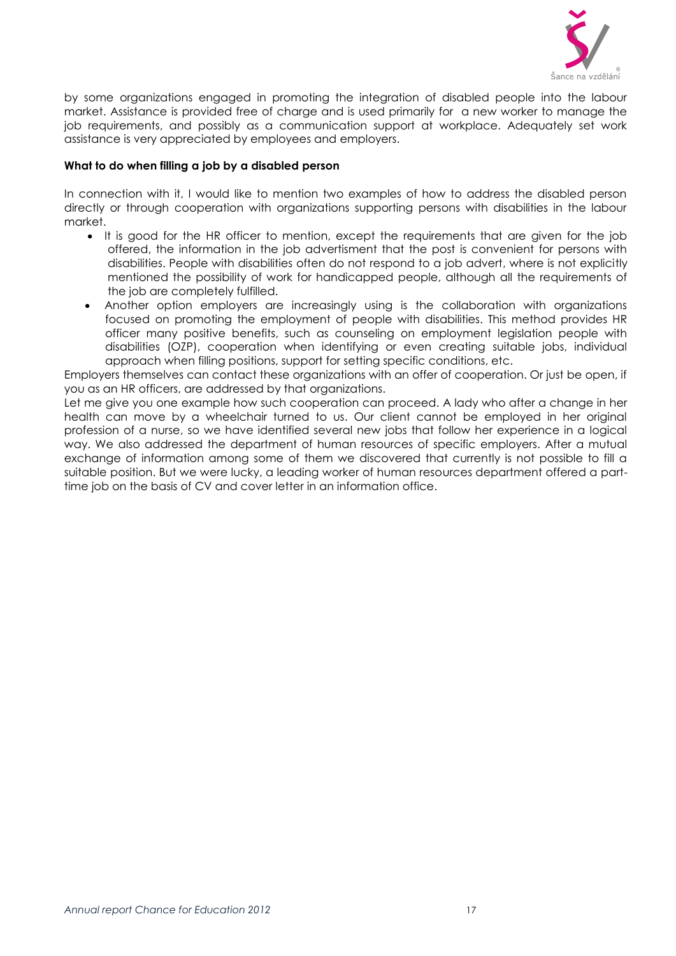

by some organizations engaged in promoting the integration of disabled people into the labour market. Assistance is provided free of charge and is used primarily for a new worker to manage the job requirements, and possibly as a communication support at workplace. Adequately set work assistance is very appreciated by employees and employers.

## **What to do when filling a job by a disabled person**

In connection with it, I would like to mention two examples of how to address the disabled person directly or through cooperation with organizations supporting persons with disabilities in the labour market.

- It is good for the HR officer to mention, except the requirements that are given for the job offered, the information in the job advertisment that the post is convenient for persons with disabilities. People with disabilities often do not respond to a job advert, where is not explicitly mentioned the possibility of work for handicapped people, although all the requirements of the job are completely fulfilled.
- Another option employers are increasingly using is the collaboration with organizations focused on promoting the employment of people with disabilities. This method provides HR officer many positive benefits, such as counseling on employment legislation people with disabilities (OZP), cooperation when identifying or even creating suitable jobs, individual approach when filling positions, support for setting specific conditions, etc.

Employers themselves can contact these organizations with an offer of cooperation. Or just be open, if you as an HR officers, are addressed by that organizations.

Let me give you one example how such cooperation can proceed. A lady who after a change in her health can move by a wheelchair turned to us. Our client cannot be employed in her original profession of a nurse, so we have identified several new jobs that follow her experience in a logical way. We also addressed the department of human resources of specific employers. After a mutual exchange of information among some of them we discovered that currently is not possible to fill a suitable position. But we were lucky, a leading worker of human resources department offered a parttime job on the basis of CV and cover letter in an information office.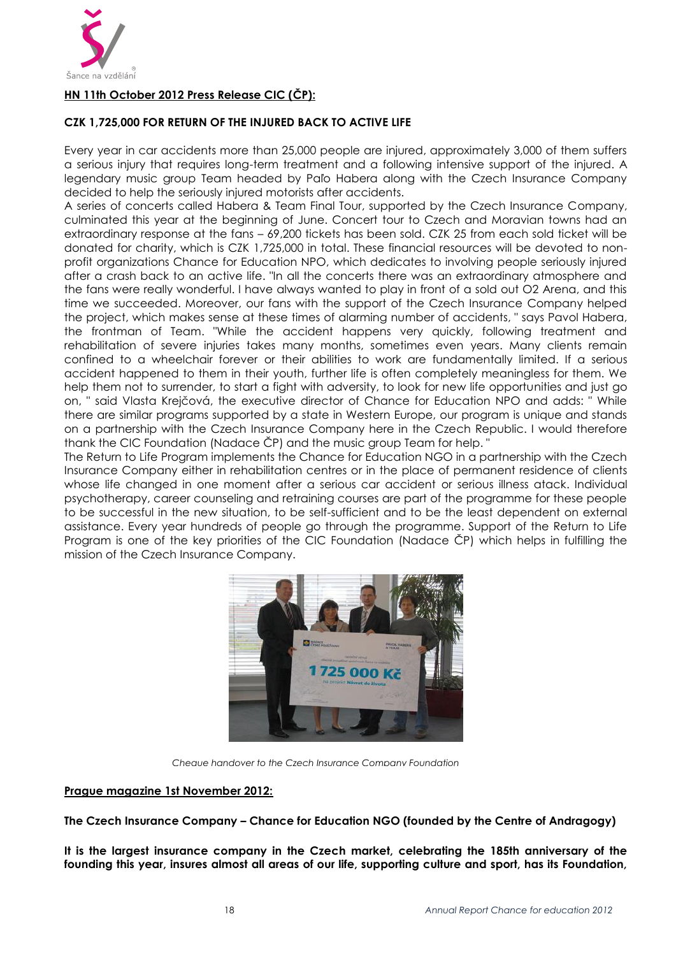

## **HN 11th October 2012 Press Release CIC (ČP):**

## **CZK 1,725,000 FOR RETURN OF THE INJURED BACK TO ACTIVE LIFE**

Every year in car accidents more than 25,000 people are injured, approximately 3,000 of them suffers a serious injury that requires long-term treatment and a following intensive support of the injured. A legendary music group Team headed by Paľo Habera along with the Czech Insurance Company decided to help the seriously injured motorists after accidents.

A series of concerts called Habera & Team Final Tour, supported by the Czech Insurance Company, culminated this year at the beginning of June. Concert tour to Czech and Moravian towns had an extraordinary response at the fans – 69,200 tickets has been sold. CZK 25 from each sold ticket will be donated for charity, which is CZK 1,725,000 in total. These financial resources will be devoted to nonprofit organizations Chance for Education NPO, which dedicates to involving people seriously injured after a crash back to an active life. "In all the concerts there was an extraordinary atmosphere and the fans were really wonderful. I have always wanted to play in front of a sold out O2 Arena, and this time we succeeded. Moreover, our fans with the support of the Czech Insurance Company helped the project, which makes sense at these times of alarming number of accidents, " says Pavol Habera, the frontman of Team. "While the accident happens very quickly, following treatment and rehabilitation of severe injuries takes many months, sometimes even years. Many clients remain confined to a wheelchair forever or their abilities to work are fundamentally limited. If a serious accident happened to them in their youth, further life is often completely meaningless for them. We help them not to surrender, to start a fight with adversity, to look for new life opportunities and just go on, " said Vlasta Krejčová, the executive director of Chance for Education NPO and adds: " While there are similar programs supported by a state in Western Europe, our program is unique and stands on a partnership with the Czech Insurance Company here in the Czech Republic. I would therefore thank the CIC Foundation (Nadace ČP) and the music group Team for help. "

The Return to Life Program implements the Chance for Education NGO in a partnership with the Czech Insurance Company either in rehabilitation centres or in the place of permanent residence of clients whose life changed in one moment after a serious car accident or serious illness atack. Individual psychotherapy, career counseling and retraining courses are part of the programme for these people to be successful in the new situation, to be self-sufficient and to be the least dependent on external assistance. Every year hundreds of people go through the programme. Support of the Return to Life Program is one of the key priorities of the CIC Foundation (Nadace ČP) which helps in fulfilling the mission of the Czech Insurance Company.



*Cheque handover to the Czech Insurance Company Foundation*

#### **Prague magazine 1st November 2012:**

**The Czech Insurance Company – Chance for Education NGO (founded by the Centre of Andragogy)**

**It is the largest insurance company in the Czech market, celebrating the 185th anniversary of the founding this year, insures almost all areas of our life, supporting culture and sport, has its Foundation,**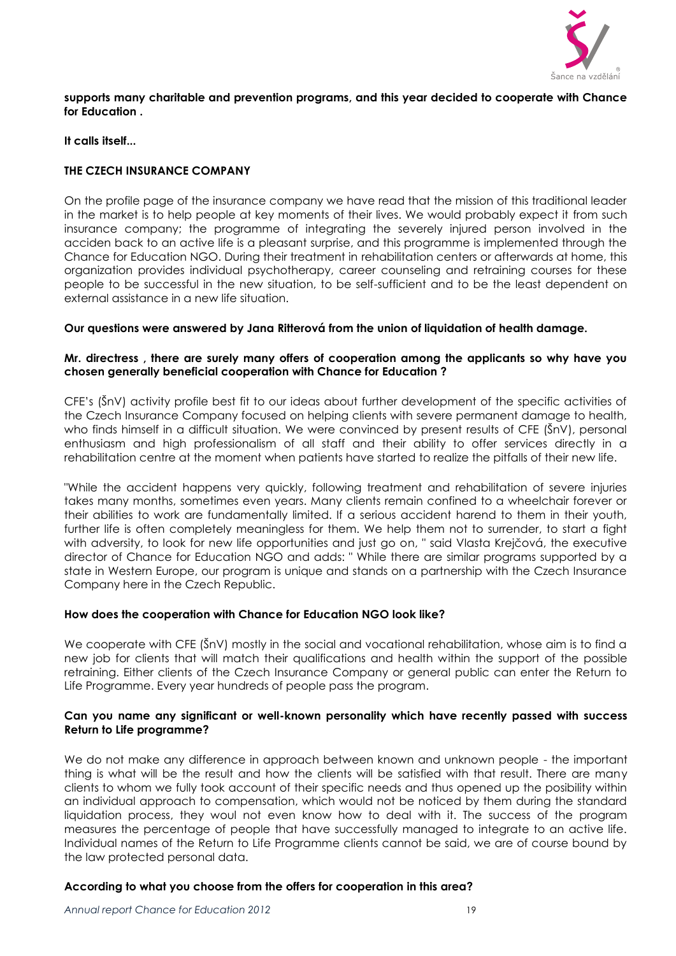

**supports many charitable and prevention programs, and this year decided to cooperate with Chance for Education .**

**It calls itself...**

#### **THE CZECH INSURANCE COMPANY**

On the profile page of the insurance company we have read that the mission of this traditional leader in the market is to help people at key moments of their lives. We would probably expect it from such insurance company; the programme of integrating the severely injured person involved in the acciden back to an active life is a pleasant surprise, and this programme is implemented through the Chance for Education NGO. During their treatment in rehabilitation centers or afterwards at home, this organization provides individual psychotherapy, career counseling and retraining courses for these people to be successful in the new situation, to be self-sufficient and to be the least dependent on external assistance in a new life situation.

#### **Our questions were answered by Jana Ritterová from the union of liquidation of health damage.**

#### **Mr. directress , there are surely many offers of cooperation among the applicants so why have you chosen generally beneficial cooperation with Chance for Education ?**

CFE's (ŠnV) activity profile best fit to our ideas about further development of the specific activities of the Czech Insurance Company focused on helping clients with severe permanent damage to health, who finds himself in a difficult situation. We were convinced by present results of CFE (ŠnV), personal enthusiasm and high professionalism of all staff and their ability to offer services directly in a rehabilitation centre at the moment when patients have started to realize the pitfalls of their new life.

"While the accident happens very quickly, following treatment and rehabilitation of severe injuries takes many months, sometimes even years. Many clients remain confined to a wheelchair forever or their abilities to work are fundamentally limited. If a serious accident harend to them in their youth, further life is often completely meaningless for them. We help them not to surrender, to start a fight with adversity, to look for new life opportunities and just go on, " said Vlasta Krejčová, the executive director of Chance for Education NGO and adds: " While there are similar programs supported by a state in Western Europe, our program is unique and stands on a partnership with the Czech Insurance Company here in the Czech Republic.

#### **How does the cooperation with Chance for Education NGO look like?**

We cooperate with CFE (ŠnV) mostly in the social and vocational rehabilitation, whose aim is to find a new job for clients that will match their qualifications and health within the support of the possible retraining. Either clients of the Czech Insurance Company or general public can enter the Return to Life Programme. Every year hundreds of people pass the program.

#### **Can you name any significant or well-known personality which have recently passed with success Return to Life programme?**

We do not make any difference in approach between known and unknown people - the important thing is what will be the result and how the clients will be satisfied with that result. There are many clients to whom we fully took account of their specific needs and thus opened up the posibility within an individual approach to compensation, which would not be noticed by them during the standard liquidation process, they woul not even know how to deal with it. The success of the program measures the percentage of people that have successfully managed to integrate to an active life. Individual names of the Return to Life Programme clients cannot be said, we are of course bound by the law protected personal data.

#### **According to what you choose from the offers for cooperation in this area?**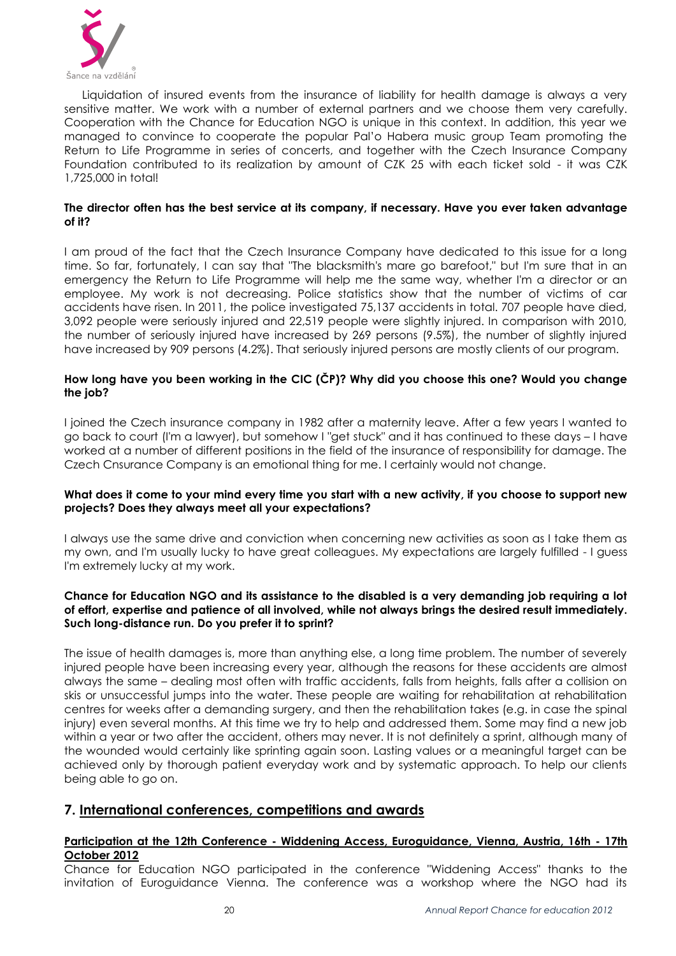

 Liquidation of insured events from the insurance of liability for health damage is always a very sensitive matter. We work with a number of external partners and we choose them very carefully. Cooperation with the Chance for Education NGO is unique in this context. In addition, this year we managed to convince to cooperate the popular Pal'o Habera music group Team promoting the Return to Life Programme in series of concerts, and together with the Czech Insurance Company Foundation contributed to its realization by amount of CZK 25 with each ticket sold - it was CZK 1,725,000 in total!

#### **The director often has the best service at its company, if necessary. Have you ever taken advantage of it?**

I am proud of the fact that the Czech Insurance Company have dedicated to this issue for a long time. So far, fortunately, I can say that "The blacksmith's mare go barefoot," but I'm sure that in an emergency the Return to Life Programme will help me the same way, whether I'm a director or an employee. My work is not decreasing. Police statistics show that the number of victims of car accidents have risen. In 2011, the police investigated 75,137 accidents in total. 707 people have died, 3,092 people were seriously injured and 22,519 people were slightly injured. In comparison with 2010, the number of seriously injured have increased by 269 persons (9.5%), the number of slightly injured have increased by 909 persons (4.2%). That seriously injured persons are mostly clients of our program.

#### **How long have you been working in the CIC (ČP)? Why did you choose this one? Would you change the job?**

I joined the Czech insurance company in 1982 after a maternity leave. After a few years I wanted to go back to court (I'm a lawyer), but somehow I "get stuck" and it has continued to these days – I have worked at a number of different positions in the field of the insurance of responsibility for damage. The Czech Cnsurance Company is an emotional thing for me. I certainly would not change.

#### **What does it come to your mind every time you start with a new activity, if you choose to support new projects? Does they always meet all your expectations?**

I always use the same drive and conviction when concerning new activities as soon as I take them as my own, and I'm usually lucky to have great colleagues. My expectations are largely fulfilled - I guess I'm extremely lucky at my work.

#### **Chance for Education NGO and its assistance to the disabled is a very demanding job requiring a lot of effort, expertise and patience of all involved, while not always brings the desired result immediately. Such long-distance run. Do you prefer it to sprint?**

The issue of health damages is, more than anything else, a long time problem. The number of severely injured people have been increasing every year, although the reasons for these accidents are almost always the same – dealing most often with traffic accidents, falls from heights, falls after a collision on skis or unsuccessful jumps into the water. These people are waiting for rehabilitation at rehabilitation centres for weeks after a demanding surgery, and then the rehabilitation takes (e.g. in case the spinal injury) even several months. At this time we try to help and addressed them. Some may find a new job within a year or two after the accident, others may never. It is not definitely a sprint, although many of the wounded would certainly like sprinting again soon. Lasting values or a meaningful target can be achieved only by thorough patient everyday work and by systematic approach. To help our clients being able to go on.

## **7. International conferences, competitions and awards**

#### **Participation at the 12th Conference - Widdening Access, Euroguidance, Vienna, Austria, 16th - 17th October 2012**

Chance for Education NGO participated in the conference "Widdening Access" thanks to the invitation of Euroguidance Vienna. The conference was a workshop where the NGO had its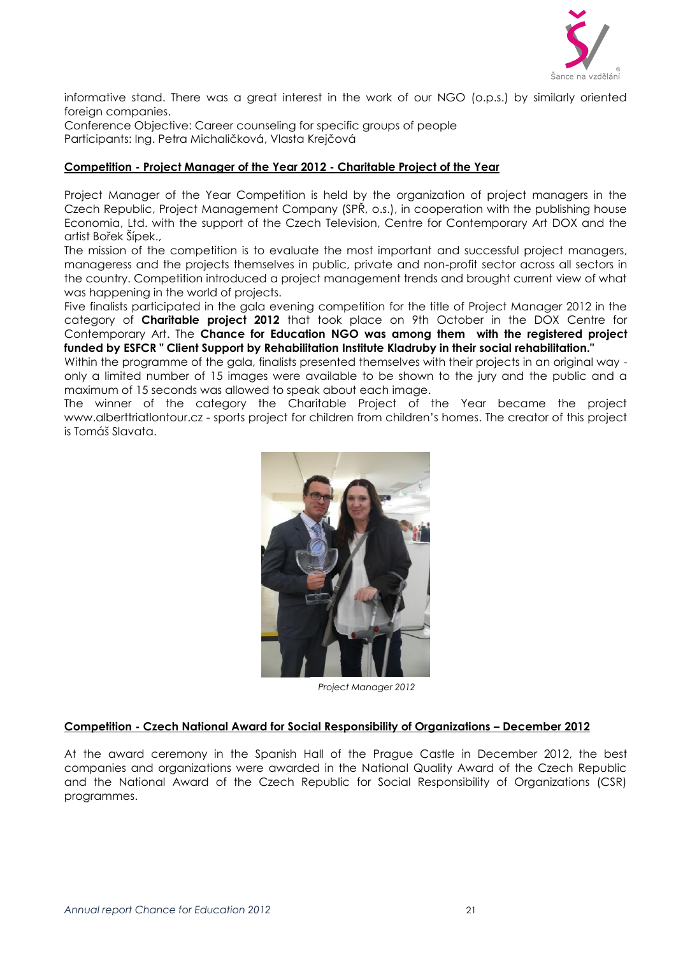

informative stand. There was a great interest in the work of our NGO (o.p.s.) by similarly oriented foreign companies.

Conference Objective: Career counseling for specific groups of people Participants: Ing. Petra Michaličková, Vlasta Krejčová

#### **Competition - Project Manager of the Year 2012 - Charitable Project of the Year**

Project Manager of the Year Competition is held by the organization of project managers in the Czech Republic, Project Management Company (SPŘ, o.s.), in cooperation with the publishing house Economia, Ltd. with the support of the Czech Television, Centre for Contemporary Art DOX and the artist Bořek Šípek.,

The mission of the competition is to evaluate the most important and successful project managers, manageress and the projects themselves in public, private and non-profit sector across all sectors in the country. Competition introduced a project management trends and brought current view of what was happening in the world of projects.

Five finalists participated in the gala evening competition for the title of Project Manager 2012 in the category of **Charitable project 2012** that took place on 9th October in the DOX Centre for Contemporary Art. The **Chance for Education NGO was among them with the registered project funded by ESFCR " Client Support by Rehabilitation Institute Kladruby in their social rehabilitation."**

Within the programme of the gala, finalists presented themselves with their projects in an original way only a limited number of 15 images were available to be shown to the jury and the public and a maximum of 15 seconds was allowed to speak about each image.

The winner of the category the Charitable Project of the Year became the project www.alberttriatlontour.cz - sports project for children from children's homes. The creator of this project is Tomáš Slavata.



*Project Manager 2012*

#### **Competition - Czech National Award for Social Responsibility of Organizations – December 2012**

At the award ceremony in the Spanish Hall of the Prague Castle in December 2012, the best companies and organizations were awarded in the National Quality Award of the Czech Republic and the National Award of the Czech Republic for Social Responsibility of Organizations (CSR) programmes.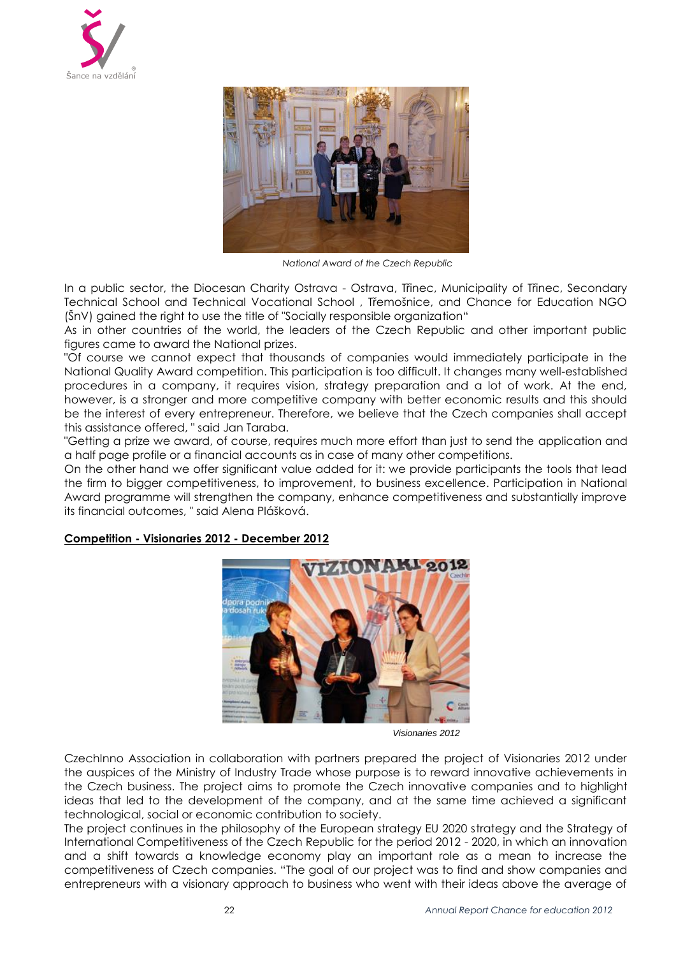



*National Award of the Czech Republic*

In a public sector, the Diocesan Charity Ostrava - Ostrava, Třinec, Municipality of Třinec, Secondary Technical School and Technical Vocational School , Třemošnice, and Chance for Education NGO (ŠnV) gained the right to use the title of "Socially responsible organization"

As in other countries of the world, the leaders of the Czech Republic and other important public figures came to award the National prizes.

"Of course we cannot expect that thousands of companies would immediately participate in the National Quality Award competition. This participation is too difficult. It changes many well-established procedures in a company, it requires vision, strategy preparation and a lot of work. At the end, however, is a stronger and more competitive company with better economic results and this should be the interest of every entrepreneur. Therefore, we believe that the Czech companies shall accept this assistance offered, " said Jan Taraba.

"Getting a prize we award, of course, requires much more effort than just to send the application and a half page profile or a financial accounts as in case of many other competitions.

On the other hand we offer significant value added for it: we provide participants the tools that lead the firm to bigger competitiveness, to improvement, to business excellence. Participation in National Award programme will strengthen the company, enhance competitiveness and substantially improve its financial outcomes, " said Alena Plášková.

#### **Competition - Visionaries 2012 - December 2012**



*Visionaries 2012*

CzechInno Association in collaboration with partners prepared the project of Visionaries 2012 under the auspices of the Ministry of Industry Trade whose purpose is to reward innovative achievements in the Czech business. The project aims to promote the Czech innovative companies and to highlight ideas that led to the development of the company, and at the same time achieved a significant technological, social or economic contribution to society.

The project continues in the philosophy of the European strategy EU 2020 strategy and the Strategy of International Competitiveness of the Czech Republic for the period 2012 - 2020, in which an innovation and a shift towards a knowledge economy play an important role as a mean to increase the competitiveness of Czech companies. "The goal of our project was to find and show companies and entrepreneurs with a visionary approach to business who went with their ideas above the average of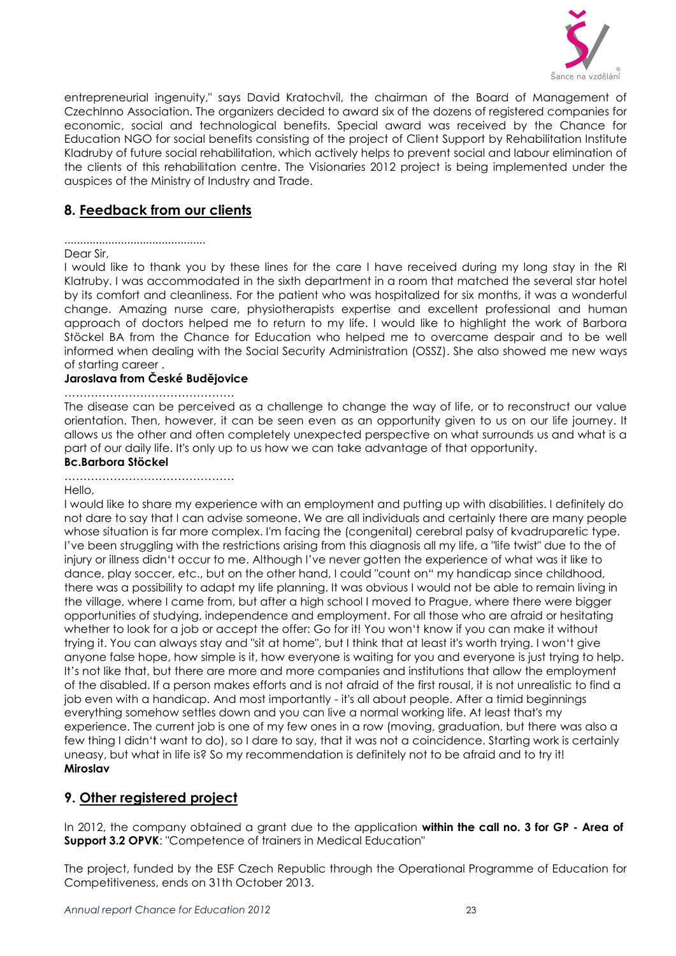

entrepreneurial ingenuity," says David Kratochvíl, the chairman of the Board of Management of CzechInno Association. The organizers decided to award six of the dozens of registered companies for economic, social and technological benefits. Special award was received by the Chance for Education NGO for social benefits consisting of the project of Client Support by Rehabilitation Institute Kladruby of future social rehabilitation, which actively helps to prevent social and labour elimination of the clients of this rehabilitation centre. The Visionaries 2012 project is being implemented under the auspices of the Ministry of Industry and Trade.

## **8. Feedback from our clients**

#### .............................................

#### Dear Sir,

I would like to thank you by these lines for the care I have received during my long stay in the RI Klatruby. I was accommodated in the sixth department in a room that matched the several star hotel by its comfort and cleanliness. For the patient who was hospitalized for six months, it was a wonderful change. Amazing nurse care, physiotherapists expertise and excellent professional and human approach of doctors helped me to return to my life. I would like to highlight the work of Barbora Stöckel BA from the Chance for Education who helped me to overcame despair and to be well informed when dealing with the Social Security Administration (OSSZ). She also showed me new ways of starting career .

#### **Jaroslava from České Budějovice**

#### ………………………………………

The disease can be perceived as a challenge to change the way of life, or to reconstruct our value orientation. Then, however, it can be seen even as an opportunity given to us on our life journey. It allows us the other and often completely unexpected perspective on what surrounds us and what is a part of our daily life. It's only up to us how we can take advantage of that opportunity.

#### **Bc.Barbora Stöckel**

………………………………………

#### Hello,

I would like to share my experience with an employment and putting up with disabilities. I definitely do not dare to say that I can advise someone. We are all individuals and certainly there are many people whose situation is far more complex. I'm facing the (congenital) cerebral palsy of kvadruparetic type. I've been struggling with the restrictions arising from this diagnosis all my life, a "life twist" due to the of injury or illness didn't occur to me. Although I've never gotten the experience of what was it like to dance, play soccer, etc., but on the other hand, I could "count on" my handicap since childhood, there was a possibility to adapt my life planning. It was obvious I would not be able to remain living in the village, where I came from, but after a high school I moved to Prague, where there were bigger opportunities of studying, independence and employment. For all those who are afraid or hesitating whether to look for a job or accept the offer: Go for it! You won't know if you can make it without trying it. You can always stay and "sit at home", but I think that at least it's worth trying. I won't give anyone false hope, how simple is it, how everyone is waiting for you and everyone is just trying to help. It's not like that, but there are more and more companies and institutions that allow the employment of the disabled. If a person makes efforts and is not afraid of the first rousal, it is not unrealistic to find a job even with a handicap. And most importantly - it's all about people. After a timid beginnings everything somehow settles down and you can live a normal working life. At least that's my experience. The current job is one of my few ones in a row (moving, graduation, but there was also a few thing I didn't want to do), so I dare to say, that it was not a coincidence. Starting work is certainly uneasy, but what in life is? So my recommendation is definitely not to be afraid and to try it! **Miroslav**

## **9. Other registered project**

In 2012, the company obtained a grant due to the application **within the call no. 3 for GP - Area of Support 3.2 OPVK**: "Competence of trainers in Medical Education"

The project, funded by the ESF Czech Republic through the Operational Programme of Education for Competitiveness, ends on 31th October 2013.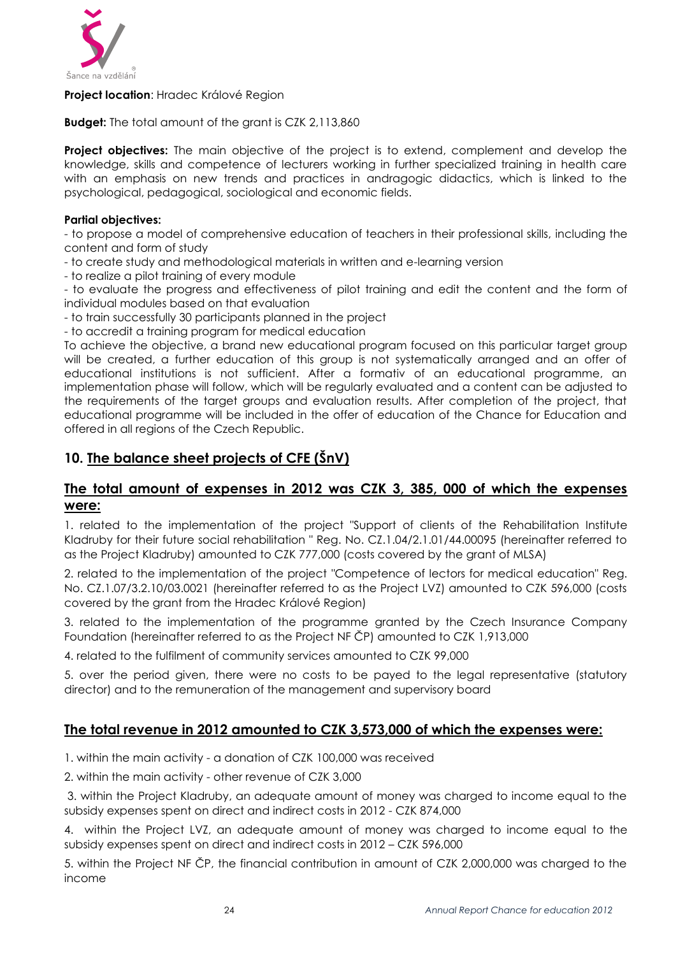

**Project location**: Hradec Králové Region

**Budget:** The total amount of the grant is CZK 2,113,860

**Project objectives:** The main objective of the project is to extend, complement and develop the knowledge, skills and competence of lecturers working in further specialized training in health care with an emphasis on new trends and practices in andragogic didactics, which is linked to the psychological, pedagogical, sociological and economic fields.

#### **Partial objectives:**

- to propose a model of comprehensive education of teachers in their professional skills, including the content and form of study

- to create study and methodological materials in written and e-learning version
- to realize a pilot training of every module

- to evaluate the progress and effectiveness of pilot training and edit the content and the form of individual modules based on that evaluation

- to train successfully 30 participants planned in the project

- to accredit a training program for medical education

To achieve the objective, a brand new educational program focused on this particular target group will be created, a further education of this group is not systematically arranged and an offer of educational institutions is not sufficient. After a formativ of an educational programme, an implementation phase will follow, which will be regularly evaluated and a content can be adjusted to the requirements of the target groups and evaluation results. After completion of the project, that educational programme will be included in the offer of education of the Chance for Education and offered in all regions of the Czech Republic.

# **10. The balance sheet projects of CFE (ŠnV)**

## **The total amount of expenses in 2012 was CZK 3, 385, 000 of which the expenses were:**

1. related to the implementation of the project "Support of clients of the Rehabilitation Institute Kladruby for their future social rehabilitation " Reg. No. CZ.1.04/2.1.01/44.00095 (hereinafter referred to as the Project Kladruby) amounted to CZK 777,000 (costs covered by the grant of MLSA)

2. related to the implementation of the project "Competence of lectors for medical education" Reg. No. CZ.1.07/3.2.10/03.0021 (hereinafter referred to as the Project LVZ) amounted to CZK 596,000 (costs covered by the grant from the Hradec Králové Region)

3. related to the implementation of the programme granted by the Czech Insurance Company Foundation (hereinafter referred to as the Project NF ČP) amounted to CZK 1,913,000

4. related to the fulfilment of community services amounted to CZK 99,000

5. over the period given, there were no costs to be payed to the legal representative (statutory director) and to the remuneration of the management and supervisory board

## **The total revenue in 2012 amounted to CZK 3,573,000 of which the expenses were:**

1. within the main activity - a donation of CZK 100,000 was received

2. within the main activity - other revenue of CZK 3,000

3. within the Project Kladruby, an adequate amount of money was charged to income equal to the subsidy expenses spent on direct and indirect costs in 2012 - CZK 874,000

4. within the Project LVZ, an adequate amount of money was charged to income equal to the subsidy expenses spent on direct and indirect costs in 2012 – CZK 596,000

5. within the Project NF ČP, the financial contribution in amount of CZK 2,000,000 was charged to the income